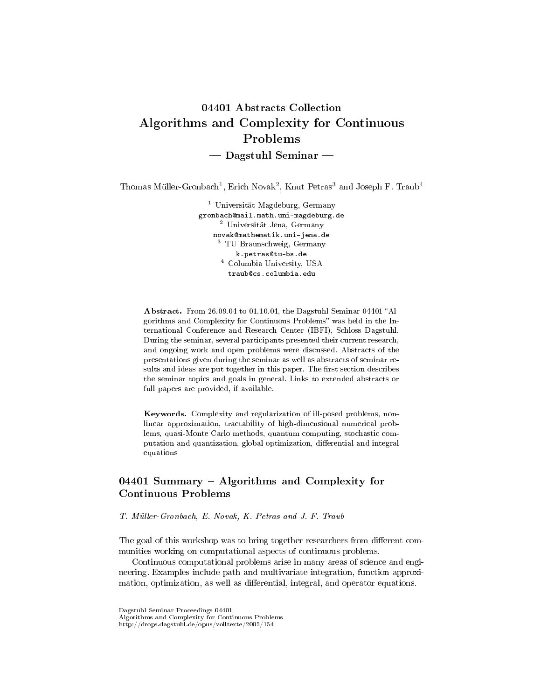# 04401 Abstracts Collection Algorithms and Complexity for Continuous Problems  $-$  Dagstuhl Seminar  $-$

Thomas Müller-Gronbach<sup>1</sup>, Erich Novak<sup>2</sup>, Knut Petras<sup>3</sup> and Joseph F. Traub<sup>4</sup>

<sup>1</sup> Universität Magdeburg, Germany gronbach@mail.math.uni-magdeburg.de <sup>2</sup> Universität Jena, Germany novak@mathematik.uni-jena.de <sup>3</sup> TU Braunschweig, Germany k.petras@tu-bs.de <sup>4</sup> Columbia University, USA traub@cs.columbia.edu

Abstract. From 26.09.04 to 01.10.04, the Dagstuhl Seminar 04401 "Algorithms and Complexity for Continuous Problems" was held in the International Conference and Research Center (IBFI), Schloss Dagstuhl. During the seminar, several participants presented their current research, and ongoing work and open problems were discussed. Abstracts of the presentations given during the seminar as well as abstracts of seminar results and ideas are put together in this paper. The first section describes the seminar topics and goals in general. Links to extended abstracts or full papers are provided, if available.

Keywords. Complexity and regularization of ill-posed problems, nonlinear approximation, tractability of high-dimensional numerical problems, quasi-Monte Carlo methods, quantum computing, stochastic computation and quantization, global optimization, differential and integral equations

# $04401$  Summary – Algorithms and Complexity for Continuous Problems

T. Müller-Gronbach, E. Novak, K. Petras and J. F. Traub

The goal of this workshop was to bring together researchers from different communities working on computational aspects of continuous problems.

Continuous computational problems arise in many areas of science and engineering. Examples include path and multivariate integration, function approximation, optimization, as well as differential, integral, and operator equations.

Dagstuhl Seminar Proceedings 04401

Algorithms and Complexity for Continuous Problems http://drops.dagstuhl.de/opus/volltexte/2005/154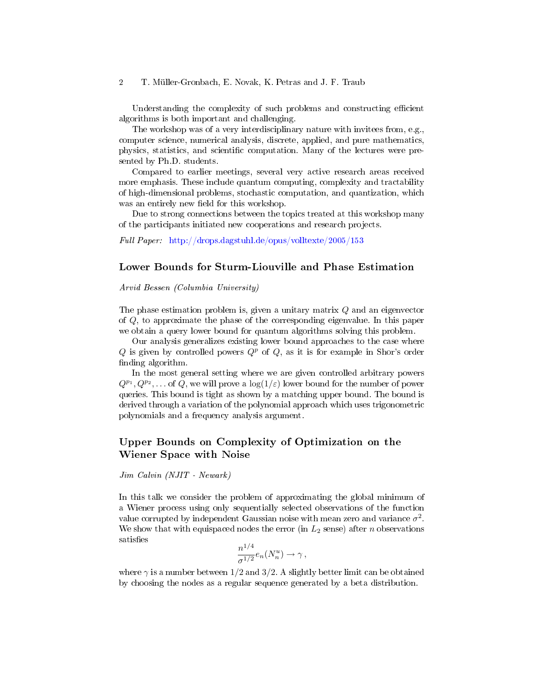#### 2 T. Müller-Gronbach, E. Novak, K. Petras and J. F. Traub

Understanding the complexity of such problems and constructing efficient algorithms is both important and challenging.

The workshop was of a very interdisciplinary nature with invitees from, e.g., computer science, numerical analysis, discrete, applied, and pure mathematics, physics, statistics, and scientific computation. Many of the lectures were presented by Ph.D. students.

Compared to earlier meetings, several very active research areas received more emphasis. These include quantum computing, complexity and tractability of high-dimensional problems, stochastic computation, and quantization, which was an entirely new field for this workshop.

Due to strong connections between the topics treated at this workshop many of the participants initiated new cooperations and research projects.

Full Paper: <http://drops.dagstuhl.de/opus/volltexte/2005/153>

### Lower Bounds for Sturm-Liouville and Phase Estimation

Arvid Bessen (Columbia University)

The phase estimation problem is, given a unitary matrix Q and an eigenvector of Q, to approximate the phase of the corresponding eigenvalue. In this paper we obtain a query lower bound for quantum algorithms solving this problem.

Our analysis generalizes existing lower bound approaches to the case where Q is given by controlled powers  $Q^p$  of Q, as it is for example in Shor's order finding algorithm.

In the most general setting where we are given controlled arbitrary powers  $Q^{p_1}, Q^{p_2}, \ldots$  of Q, we will prove a  $\log(1/\varepsilon)$  lower bound for the number of power queries. This bound is tight as shown by a matching upper bound. The bound is derived through a variation of the polynomial approach which uses trigonometric polynomials and a frequency analysis argument.

# Upper Bounds on Complexity of Optimization on the Wiener Space with Noise

Jim Calvin (NJIT - Newark)

In this talk we consider the problem of approximating the global minimum of a Wiener process using only sequentially selected observations of the function value corrupted by independent Gaussian noise with mean zero and variance  $\sigma^2$ . We show that with equispaced nodes the error (in  $L_2$  sense) after *n* observations satisfies

$$
\frac{n^{1/4}}{\sigma^{1/2}} e_n(N_n^u) \to \gamma \,,
$$

where  $\gamma$  is a number between 1/2 and 3/2. A slightly better limit can be obtained by choosing the nodes as a regular sequence generated by a beta distribution.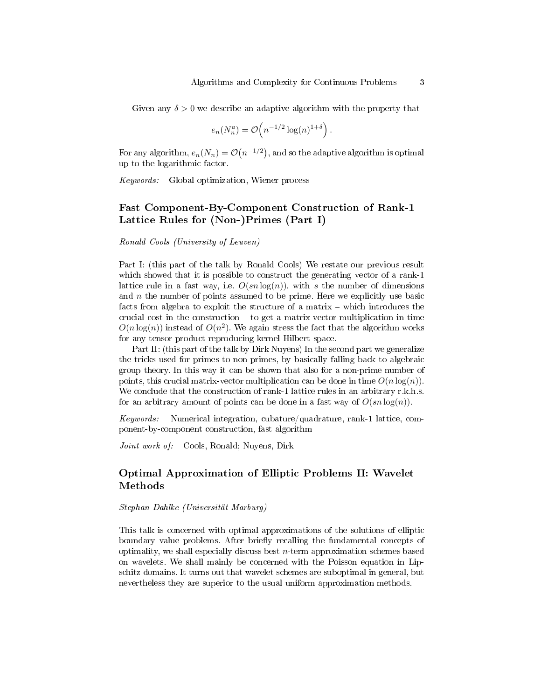Given any  $\delta > 0$  we describe an adaptive algorithm with the property that

$$
e_n(N_n^a) = \mathcal{O}\left(n^{-1/2}\log(n)^{1+\delta}\right).
$$

For any algorithm,  $e_n(N_n) = \mathcal{O}\big(n^{-1/2}\big),$  and so the adaptive algorithm is optimal up to the logarithmic factor.

Keywords: Global optimization, Wiener process

### Fast Component-By-Component Construction of Rank-1 Lattice Rules for (Non-)Primes (Part I)

Ronald Cools (University of Leuven)

Part I: (this part of the talk by Ronald Cools) We restate our previous result which showed that it is possible to construct the generating vector of a rank-1 lattice rule in a fast way, i.e.  $O(s n \log(n))$ , with s the number of dimensions and  $n$  the number of points assumed to be prime. Here we explicitly use basic facts from algebra to exploit the structure of a matrix  $-$  which introduces the crucial cost in the construction  $-$  to get a matrix-vector multiplication in time  $O(n \log(n))$  instead of  $O(n^2)$ . We again stress the fact that the algorithm works for any tensor product reproducing kernel Hilbert space.

Part II: (this part of the talk by Dirk Nuyens) In the second part we generalize the tricks used for primes to non-primes, by basically falling back to algebraic group theory. In this way it can be shown that also for a non-prime number of points, this crucial matrix-vector multiplication can be done in time  $O(n \log(n))$ . We conclude that the construction of rank-1 lattice rules in an arbitrary r.k.h.s. for an arbitrary amount of points can be done in a fast way of  $O(s n \log(n))$ .

Keywords: Numerical integration, cubature/quadrature, rank-1 lattice, component-by-component construction, fast algorithm

Joint work of: Cools, Ronald; Nuyens, Dirk

### Optimal Approximation of Elliptic Problems II: Wavelet Methods

#### Stephan Dahlke (Universität Marburg)

This talk is concerned with optimal approximations of the solutions of elliptic boundary value problems. After briefly recalling the fundamental concepts of optimality, we shall especially discuss best  $n$ -term approximation schemes based on wavelets. We shall mainly be concerned with the Poisson equation in Lipschitz domains. It turns out that wavelet schemes are suboptimal in general, but nevertheless they are superior to the usual uniform approximation methods.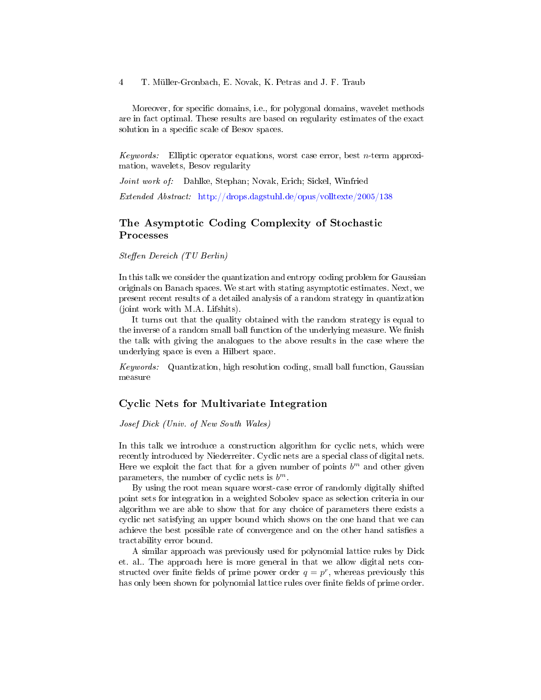4 T. Müller-Gronbach, E. Novak, K. Petras and J. F. Traub

Moreover, for specific domains, i.e., for polygonal domains, wavelet methods are in fact optimal. These results are based on regularity estimates of the exact solution in a specific scale of Besov spaces.

Keywords: Elliptic operator equations, worst case error, best *n*-term approximation, wavelets, Besov regularity

Joint work of: Dahlke, Stephan; Novak, Erich; Sickel, Winfried

Extended Abstract: <http://drops.dagstuhl.de/opus/volltexte/2005/138>

# The Asymptotic Coding Complexity of Stochastic Processes

Steffen Dereich (TU Berlin)

In this talk we consider the quantization and entropy coding problem for Gaussian originals on Banach spaces. We start with stating asymptotic estimates. Next, we present recent results of a detailed analysis of a random strategy in quantization (joint work with M.A. Lifshits).

It turns out that the quality obtained with the random strategy is equal to the inverse of a random small ball function of the underlying measure. We finish the talk with giving the analogues to the above results in the case where the underlying space is even a Hilbert space.

Keywords: Quantization, high resolution coding, small ball function, Gaussian measure

#### Cyclic Nets for Multivariate Integration

#### Josef Dick (Univ. of New South Wales)

In this talk we introduce a construction algorithm for cyclic nets, which were recently introduced by Niederreiter. Cyclic nets are a special class of digital nets. Here we exploit the fact that for a given number of points  $b^m$  and other given parameters, the number of cyclic nets is  $b^m$ .

By using the root mean square worst-case error of randomly digitally shifted point sets for integration in a weighted Sobolev space as selection criteria in our algorithm we are able to show that for any choice of parameters there exists a cyclic net satisfying an upper bound which shows on the one hand that we can achieve the best possible rate of convergence and on the other hand satisfies a tractability error bound.

A similar approach was previously used for polynomial lattice rules by Dick et. al.. The approach here is more general in that we allow digital nets constructed over finite fields of prime power order  $q = p^r$ , whereas previously this has only been shown for polynomial lattice rules over finite fields of prime order.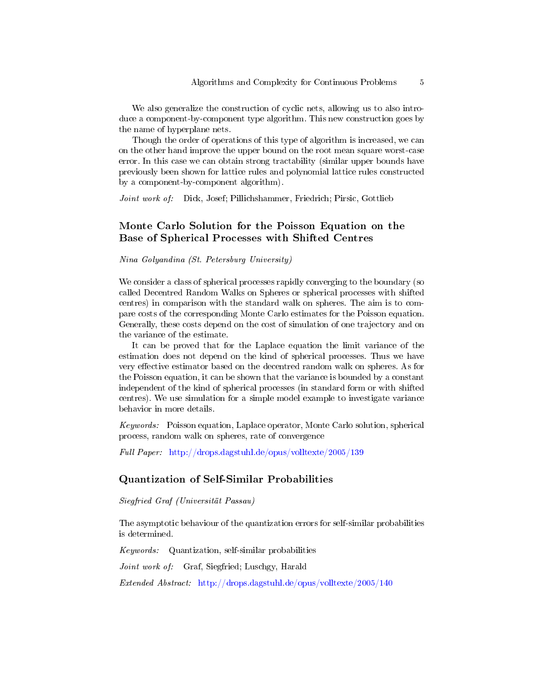We also generalize the construction of cyclic nets, allowing us to also introduce a component-by-component type algorithm. This new construction goes by the name of hyperplane nets.

Though the order of operations of this type of algorithm is increased, we can on the other hand improve the upper bound on the root mean square worst-case error. In this case we can obtain strong tractability (similar upper bounds have previously been shown for lattice rules and polynomial lattice rules constructed by a component-by-component algorithm).

Joint work of: Dick, Josef; Pillichshammer, Friedrich; Pirsic, Gottlieb

### Monte Carlo Solution for the Poisson Equation on the Base of Spherical Processes with Shifted Centres

Nina Golyandina (St. Petersburg University)

We consider a class of spherical processes rapidly converging to the boundary (so called Decentred Random Walks on Spheres or spherical processes with shifted centres) in comparison with the standard walk on spheres. The aim is to compare costs of the corresponding Monte Carlo estimates for the Poisson equation. Generally, these costs depend on the cost of simulation of one trajectory and on the variance of the estimate.

It can be proved that for the Laplace equation the limit variance of the estimation does not depend on the kind of spherical processes. Thus we have very effective estimator based on the decentred random walk on spheres. As for the Poisson equation, it can be shown that the variance is bounded by a constant independent of the kind of spherical processes (in standard form or with shifted centres). We use simulation for a simple model example to investigate variance behavior in more details.

Keywords: Poisson equation, Laplace operator, Monte Carlo solution, spherical process, random walk on spheres, rate of convergence

Full Paper: <http://drops.dagstuhl.de/opus/volltexte/2005/139>

#### Quantization of Self-Similar Probabilities

Siegfried Graf (Universität Passau)

The asymptotic behaviour of the quantization errors for self-similar probabilities is determined.

Keywords: Quantization, self-similar probabilities

Joint work of: Graf, Siegfried; Luschgy, Harald

Extended Abstract: <http://drops.dagstuhl.de/opus/volltexte/2005/140>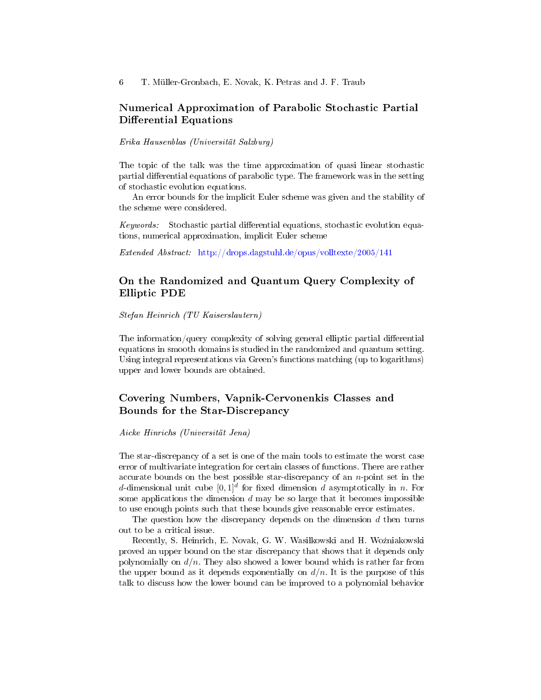### Numerical Approximation of Parabolic Stochastic Partial Differential Equations

Erika Hausenblas (Universität Salzburg)

The topic of the talk was the time approximation of quasi linear stochastic partial differential equations of parabolic type. The framework was in the setting of stochastic evolution equations.

An error bounds for the implicit Euler scheme was given and the stability of the scheme were considered.

Keywords: Stochastic partial differential equations, stochastic evolution equations, numerical approximation, implicit Euler scheme

Extended Abstract: <http://drops.dagstuhl.de/opus/volltexte/2005/141>

### On the Randomized and Quantum Query Complexity of Elliptic PDE

Stefan Heinrich (TU Kaiserslautern)

The information/query complexity of solving general elliptic partial differential equations in smooth domains is studied in the randomized and quantum setting. Using integral representations via Green's functions matching (up to logarithms) upper and lower bounds are obtained.

### Covering Numbers, Vapnik-Cervonenkis Classes and Bounds for the Star-Discrepancy

Aicke Hinrichs (Universität Jena)

The star-discrepancy of a set is one of the main tools to estimate the worst case error of multivariate integration for certain classes of functions. There are rather accurate bounds on the best possible star-discrepancy of an  $n$ -point set in the d-dimensional unit cube  $[0,1]^d$  for fixed dimension d asymptotically in n. For some applications the dimension  $d$  may be so large that it becomes impossible to use enough points such that these bounds give reasonable error estimates.

The question how the discrepancy depends on the dimension  $d$  then turns out to be a critical issue.

Recently, S. Heinrich, E. Novak, G. W. Wasilkowski and H. Woźniakowski proved an upper bound on the star discrepancy that shows that it depends only polynomially on  $d/n$ . They also showed a lower bound which is rather far from the upper bound as it depends exponentially on  $d/n$ . It is the purpose of this talk to discuss how the lower bound can be improved to a polynomial behavior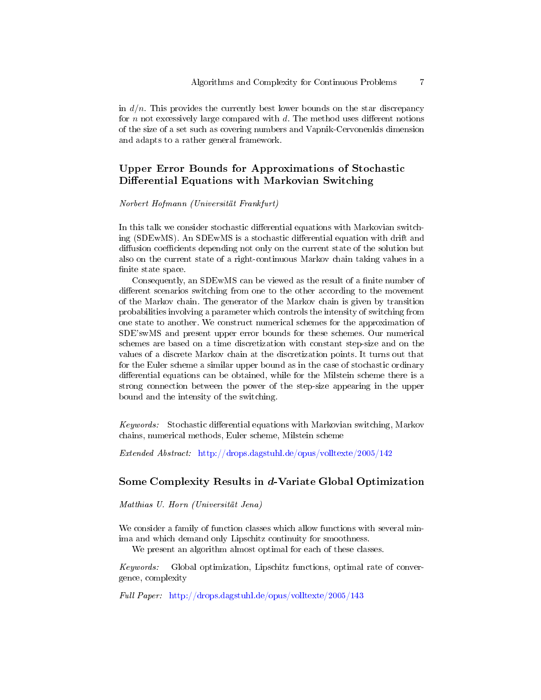in  $d/n$ . This provides the currently best lower bounds on the star discrepancy for n not excessively large compared with  $d$ . The method uses different notions of the size of a set such as covering numbers and Vapnik-Cervonenkis dimension and adapts to a rather general framework.

# Upper Error Bounds for Approximations of Stochastic Differential Equations with Markovian Switching

#### Norbert Hofmann (Universität Frankfurt)

In this talk we consider stochastic differential equations with Markovian switching  $(SDEwMS)$ . An SDEwMS is a stochastic differential equation with drift and diffusion coefficients depending not only on the current state of the solution but also on the current state of a right-continuous Markov chain taking values in a finite state space.

Consequently, an SDEwMS can be viewed as the result of a finite number of different scenarios switching from one to the other according to the movement of the Markov chain. The generator of the Markov chain is given by transition probabilities involving a parameter which controls the intensity of switching from one state to another. We construct numerical schemes for the approximation of SDE'swMS and present upper error bounds for these schemes. Our numerical schemes are based on a time discretization with constant step-size and on the values of a discrete Markov chain at the discretization points. It turns out that for the Euler scheme a similar upper bound as in the case of stochastic ordinary differential equations can be obtained, while for the Milstein scheme there is a strong connection between the power of the step-size appearing in the upper bound and the intensity of the switching.

Keywords: Stochastic differential equations with Markovian switching, Markov chains, numerical methods, Euler scheme, Milstein scheme

Extended Abstract: <http://drops.dagstuhl.de/opus/volltexte/2005/142>

#### Some Complexity Results in d-Variate Global Optimization

Matthias U. Horn (Universität Jena)

We consider a family of function classes which allow functions with several minima and which demand only Lipschitz continuity for smoothness.

We present an algorithm almost optimal for each of these classes.

Keywords: Global optimization, Lipschitz functions, optimal rate of convergence, complexity

Full Paper: <http://drops.dagstuhl.de/opus/volltexte/2005/143>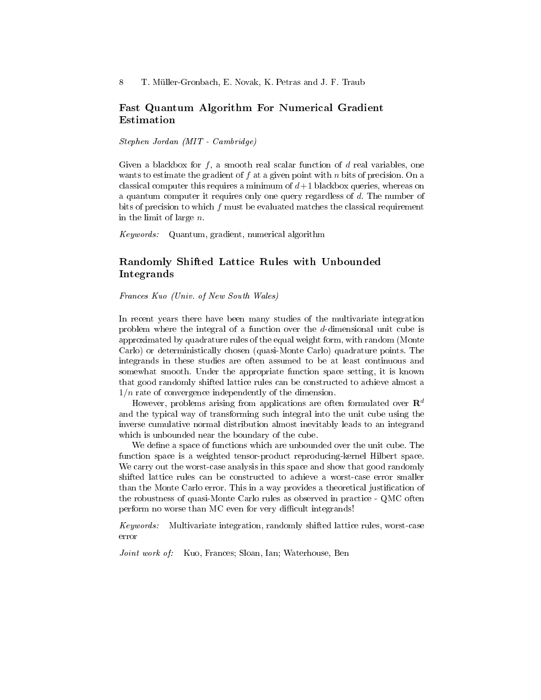8 T. Müller-Gronbach, E. Novak, K. Petras and J. F. Traub

#### Fast Quantum Algorithm For Numerical Gradient Estimation

Stephen Jordan (MIT - Cambridge)

Given a blackbox for  $f$ , a smooth real scalar function of  $d$  real variables, one wants to estimate the gradient of  $f$  at a given point with  $n$  bits of precision. On a classical computer this requires a minimum of  $d+1$  blackbox queries, whereas on a quantum computer it requires only one query regardless of d. The number of bits of precision to which f must be evaluated matches the classical requirement in the limit of large  $n$ .

Keywords: Quantum, gradient, numerical algorithm

# Randomly Shifted Lattice Rules with Unbounded Integrands

Frances Kuo (Univ. of New South Wales)

In recent years there have been many studies of the multivariate integration problem where the integral of a function over the d-dimensional unit cube is approximated by quadrature rules of the equal weight form, with random (Monte Carlo) or deterministically chosen (quasi-Monte Carlo) quadrature points. The integrands in these studies are often assumed to be at least continuous and somewhat smooth. Under the appropriate function space setting, it is known that good randomly shifted lattice rules can be constructed to achieve almost a  $1/n$  rate of convergence independently of the dimension.

However, problems arising from applications are often formulated over  $\mathbb{R}^d$ and the typical way of transforming such integral into the unit cube using the inverse cumulative normal distribution almost inevitably leads to an integrand which is unbounded near the boundary of the cube.

We define a space of functions which are unbounded over the unit cube. The function space is a weighted tensor-product reproducing-kernel Hilbert space. We carry out the worst-case analysis in this space and show that good randomly shifted lattice rules can be constructed to achieve a worst-case error smaller than the Monte Carlo error. This in a way provides a theoretical justification of the robustness of quasi-Monte Carlo rules as observed in practice - QMC often perform no worse than MC even for very difficult integrands!

Keywords: Multivariate integration, randomly shifted lattice rules, worst-case error

Joint work of: Kuo, Frances; Sloan, Ian; Waterhouse, Ben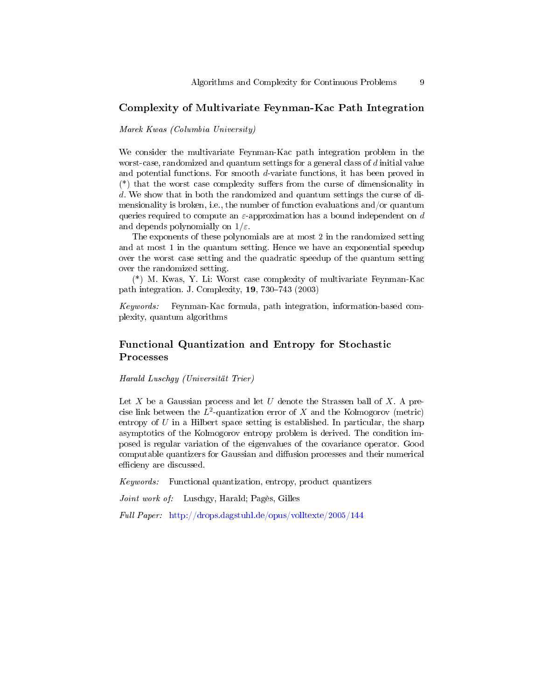#### Complexity of Multivariate Feynman-Kac Path Integration

Marek Kwas (Columbia University)

We consider the multivariate Feynman-Kac path integration problem in the worst-case, randomized and quantum settings for a general class of d initial value and potential functions. For smooth d-variate functions, it has been proved in  $(*)$  that the worst case complexity suffers from the curse of dimensionality in d. We show that in both the randomized and quantum settings the curse of dimensionality is broken, i.e., the number of function evaluations and/or quantum queries required to compute an  $\varepsilon$ -approximation has a bound independent on d and depends polynomially on  $1/\varepsilon$ .

The exponents of these polynomials are at most 2 in the randomized setting and at most 1 in the quantum setting. Hence we have an exponential speedup over the worst case setting and the quadratic speedup of the quantum setting over the randomized setting.

(\*) M. Kwas, Y. Li: Worst case complexity of multivariate Feynman-Kac path integration. J. Complexity,  $19, 730-743$  (2003)

Keywords: Feynman-Kac formula, path integration, information-based complexity, quantum algorithms

### Functional Quantization and Entropy for Stochastic Processes

Harald Luschgy (Universität Trier)

Let X be a Gaussian process and let U denote the Strassen ball of X. A precise link between the  $L^2$ -quantization error of X and the Kolmogorov (metric) entropy of  $U$  in a Hilbert space setting is established. In particular, the sharp asymptotics of the Kolmogorov entropy problem is derived. The condition imposed is regular variation of the eigenvalues of the covariance operator. Good computable quantizers for Gaussian and diffusion processes and their numerical efficieny are discussed.

Keywords: Functional quantization, entropy, product quantizers

Joint work of: Luschgy, Harald; Pagès, Gilles

Full Paper: <http://drops.dagstuhl.de/opus/volltexte/2005/144>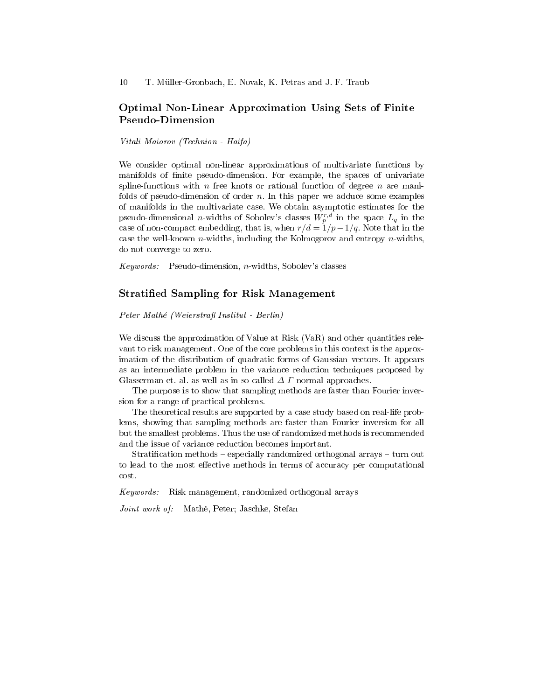### Optimal Non-Linear Approximation Using Sets of Finite Pseudo-Dimension

Vitali Maiorov (Technion - Haifa)

We consider optimal non-linear approximations of multivariate functions by manifolds of finite pseudo-dimension. For example, the spaces of univariate spline-functions with n free knots or rational function of degree n are manifolds of pseudo-dimension of order  $n$ . In this paper we adduce some examples of manifolds in the multivariate case. We obtain asymptotic estimates for the pseudo-dimensional *n*-widths of Sobolev's classes  $W_p^{r,d}$  in the space  $L_q$  in the case of non-compact embedding, that is, when  $r/d = 1/p - 1/q$ . Note that in the case the well-known  $n$ -widths, including the Kolmogorov and entropy  $n$ -widths, do not converge to zero.

Keywords: Pseudo-dimension, n-widths, Sobolev's classes

#### Stratied Sampling for Risk Management

Peter Mathé (Weierstraß Institut - Berlin)

We discuss the approximation of Value at Risk (VaR) and other quantities relevant to risk management. One of the core problems in this context is the approximation of the distribution of quadratic forms of Gaussian vectors. It appears as an intermediate problem in the variance reduction techniques proposed by Glasserman et. al. as well as in so-called  $\Delta$ -*Γ*-normal approaches.

The purpose is to show that sampling methods are faster than Fourier inversion for a range of practical problems.

The theoretical results are supported by a case study based on real-life problems, showing that sampling methods are faster than Fourier inversion for all but the smallest problems. Thus the use of randomized methods is recommended and the issue of variance reduction becomes important.

Stratification methods  $-$  especially randomized orthogonal arrays  $-$  turn out to lead to the most effective methods in terms of accuracy per computational cost.

Keywords: Risk management, randomized orthogonal arrays

Joint work of: Mathé, Peter; Jaschke, Stefan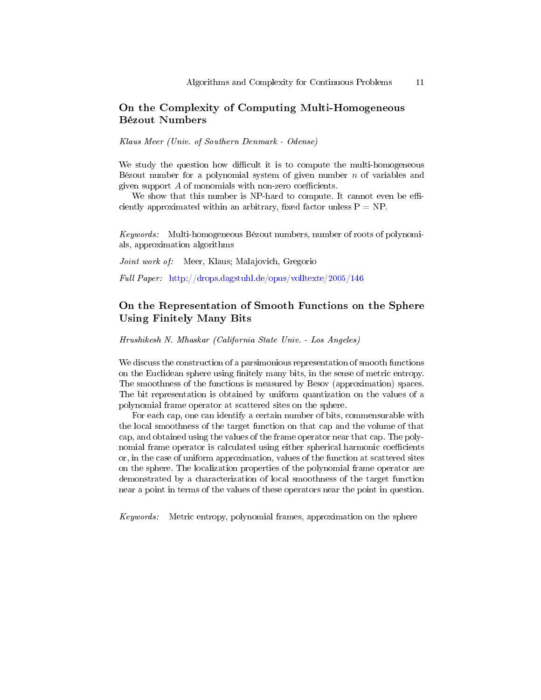# On the Complexity of Computing Multi-Homogeneous Bézout Numbers

Klaus Meer (Univ. of Southern Denmark - Odense)

We study the question how difficult it is to compute the multi-homogeneous Bézout number for a polynomial system of given number  $n$  of variables and given support  $A$  of monomials with non-zero coefficients.

We show that this number is NP-hard to compute. It cannot even be efficiently approximated within an arbitrary, fixed factor unless  $P = NP$ .

Keywords: Multi-homogeneous Bézout numbers, number of roots of polynomials, approximation algorithms

Joint work of: Meer, Klaus; Malajovich, Gregorio

Full Paper: <http://drops.dagstuhl.de/opus/volltexte/2005/146>

# On the Representation of Smooth Functions on the Sphere Using Finitely Many Bits

Hrushikesh N. Mhaskar (California State Univ. - Los Angeles)

We discuss the construction of a parsimonious representation of smooth functions on the Euclidean sphere using finitely many bits, in the sense of metric entropy. The smoothness of the functions is measured by Besov (approximation) spaces. The bit representation is obtained by uniform quantization on the values of a polynomial frame operator at scattered sites on the sphere.

For each cap, one can identify a certain number of bits, commensurable with the local smoothness of the target function on that cap and the volume of that cap, and obtained using the values of the frame operator near that cap. The polynomial frame operator is calculated using either spherical harmonic coefficients or, in the case of uniform approximation, values of the function at scattered sites on the sphere. The localization properties of the polynomial frame operator are demonstrated by a characterization of local smoothness of the target function near a point in terms of the values of these operators near the point in question.

Keywords: Metric entropy, polynomial frames, approximation on the sphere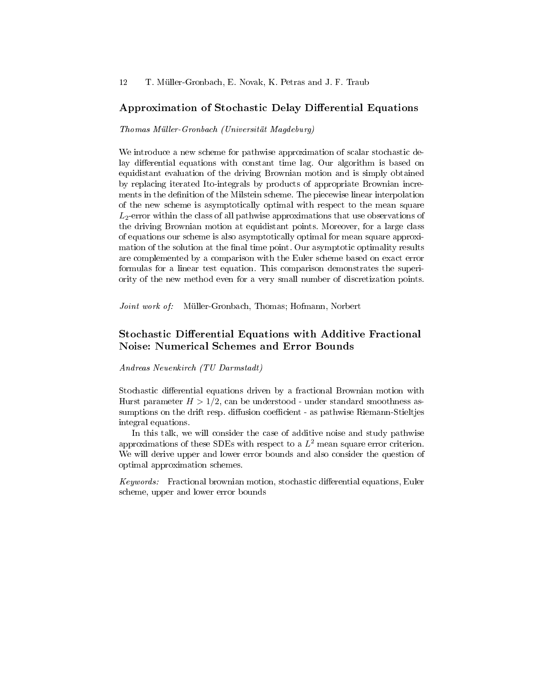#### Approximation of Stochastic Delay Differential Equations

#### Thomas Müller-Gronbach (Universität Magdeburg)

We introduce a new scheme for pathwise approximation of scalar stochastic delay differential equations with constant time lag. Our algorithm is based on equidistant evaluation of the driving Brownian motion and is simply obtained by replacing iterated Ito-integrals by products of appropriate Brownian increments in the definition of the Milstein scheme. The piecewise linear interpolation of the new scheme is asymptotically optimal with respect to the mean square  $L_2$ -error within the class of all pathwise approximations that use observations of the driving Brownian motion at equidistant points. Moreover, for a large class of equations our scheme is also asymptotically optimal for mean square approximation of the solution at the final time point. Our asymptotic optimality results are complemented by a comparison with the Euler scheme based on exact error formulas for a linear test equation. This comparison demonstrates the superiority of the new method even for a very small number of discretization points.

Joint work of: Müller-Gronbach, Thomas; Hofmann, Norbert

### Stochastic Differential Equations with Additive Fractional Noise: Numerical Schemes and Error Bounds

Andreas Neuenkirch (TU Darmstadt)

Stochastic differential equations driven by a fractional Brownian motion with Hurst parameter  $H > 1/2$ , can be understood - under standard smoothness assumptions on the drift resp. diffusion coefficient - as pathwise Riemann-Stieltjes integral equations.

In this talk, we will consider the case of additive noise and study pathwise approximations of these SDEs with respect to a  $L^2$  mean square error criterion. We will derive upper and lower error bounds and also consider the question of optimal approximation schemes.

 $Keywords:$  Fractional brownian motion, stochastic differential equations, Euler scheme, upper and lower error bounds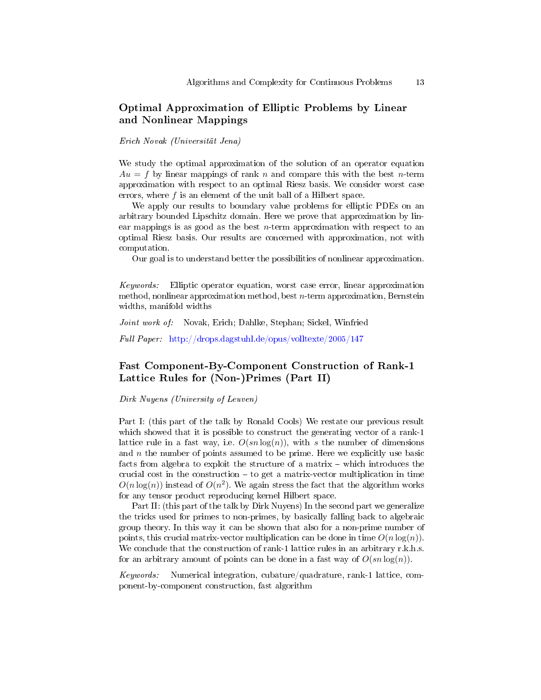# Optimal Approximation of Elliptic Problems by Linear and Nonlinear Mappings

Erich Novak (Universität Jena)

We study the optimal approximation of the solution of an operator equation  $Au = f$  by linear mappings of rank n and compare this with the best n-term approximation with respect to an optimal Riesz basis. We consider worst case errors, where f is an element of the unit ball of a Hilbert space.

We apply our results to boundary value problems for elliptic PDEs on an arbitrary bounded Lipschitz domain. Here we prove that approximation by linear mappings is as good as the best  $n$ -term approximation with respect to an optimal Riesz basis. Our results are concerned with approximation, not with computation.

Our goal is to understand better the possibilities of nonlinear approximation.

Keywords: Elliptic operator equation, worst case error, linear approximation method, nonlinear approximation method, best n-term approximation, Bernstein widths, manifold widths

Joint work of: Novak, Erich; Dahlke, Stephan; Sickel, Winfried

Full Paper: <http://drops.dagstuhl.de/opus/volltexte/2005/147>

### Fast Component-By-Component Construction of Rank-1 Lattice Rules for (Non-)Primes (Part II)

Dirk Nuyens (University of Leuven)

Part I: (this part of the talk by Ronald Cools) We restate our previous result which showed that it is possible to construct the generating vector of a rank-1 lattice rule in a fast way, i.e.  $O(s n \log(n))$ , with s the number of dimensions and  $n$  the number of points assumed to be prime. Here we explicitly use basic facts from algebra to exploit the structure of a matrix  $-$  which introduces the crucial cost in the construction  $-$  to get a matrix-vector multiplication in time  $O(n \log(n))$  instead of  $O(n^2)$ . We again stress the fact that the algorithm works for any tensor product reproducing kernel Hilbert space.

Part II: (this part of the talk by Dirk Nuyens) In the second part we generalize the tricks used for primes to non-primes, by basically falling back to algebraic group theory. In this way it can be shown that also for a non-prime number of points, this crucial matrix-vector multiplication can be done in time  $O(n \log(n))$ . We conclude that the construction of rank-1 lattice rules in an arbitrary r.k.h.s. for an arbitrary amount of points can be done in a fast way of  $O(s n \log(n))$ .

Keywords: Numerical integration, cubature/quadrature, rank-1 lattice, component-by-component construction, fast algorithm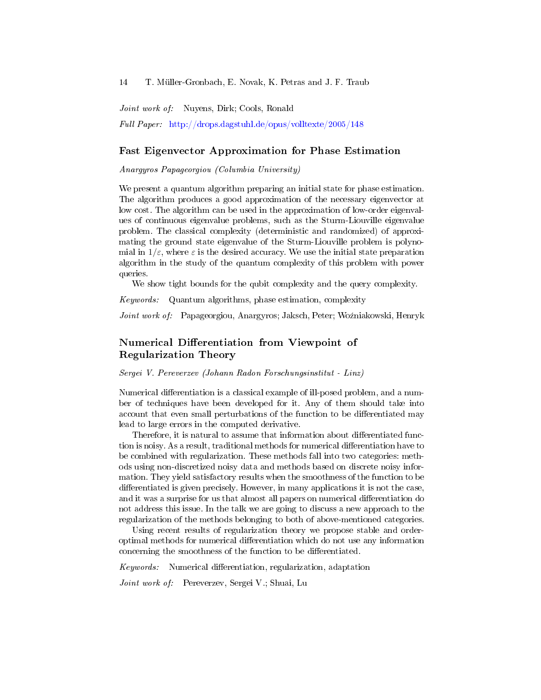Joint work of: Nuyens, Dirk; Cools, Ronald

Full Paper: <http://drops.dagstuhl.de/opus/volltexte/2005/148>

#### Fast Eigenvector Approximation for Phase Estimation

Anargyros Papageorgiou (Columbia University)

We present a quantum algorithm preparing an initial state for phase estimation. The algorithm produces a good approximation of the necessary eigenvector at low cost. The algorithm can be used in the approximation of low-order eigenvalues of continuous eigenvalue problems, such as the Sturm-Liouville eigenvalue problem. The classical complexity (deterministic and randomized) of approximating the ground state eigenvalue of the Sturm-Liouville problem is polynomial in  $1/\varepsilon$ , where  $\varepsilon$  is the desired accuracy. We use the initial state preparation algorithm in the study of the quantum complexity of this problem with power queries.

We show tight bounds for the qubit complexity and the query complexity.

Keywords: Quantum algorithms, phase estimation, complexity

Joint work of: Papageorgiou, Anargyros; Jaksch, Peter; Woźniakowski, Henryk

# Numerical Differentiation from Viewpoint of Regularization Theory

Sergei V. Pereverzev (Johann Radon Forschungsinstitut - Linz)

Numerical differentiation is a classical example of ill-posed problem, and a number of techniques have been developed for it. Any of them should take into account that even small perturbations of the function to be differentiated may lead to large errors in the computed derivative.

Therefore, it is natural to assume that information about differentiated function is noisy. As a result, traditional methods for numerical differentiation have to be combined with regularization. These methods fall into two categories: methods using non-discretized noisy data and methods based on discrete noisy information. They yield satisfactory results when the smoothness of the function to be differentiated is given precisely. However, in many applications it is not the case, and it was a surprise for us that almost all papers on numerical differentiation do not address this issue. In the talk we are going to discuss a new approach to the regularization of the methods belonging to both of above-mentioned categories.

Using recent results of regularization theory we propose stable and orderoptimal methods for numerical differentiation which do not use any information concerning the smoothness of the function to be differentiated.

 $Keywords:$  Numerical differentiation, regularization, adaptation

Joint work of: Pereverzev, Sergei V.; Shuai, Lu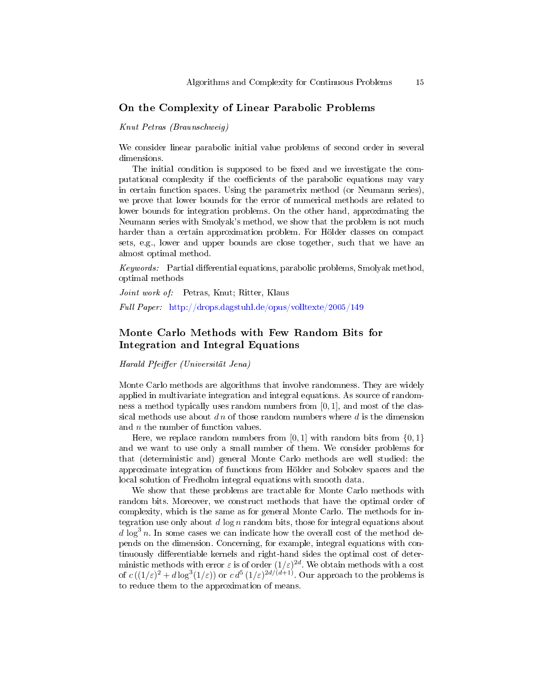#### On the Complexity of Linear Parabolic Problems

Knut Petras (Braunschweig)

We consider linear parabolic initial value problems of second order in several dimensions.

The initial condition is supposed to be fixed and we investigate the computational complexity if the coefficients of the parabolic equations may vary in certain function spaces. Using the parametrix method (or Neumann series), we prove that lower bounds for the error of numerical methods are related to lower bounds for integration problems. On the other hand, approximating the Neumann series with Smolyak's method, we show that the problem is not much harder than a certain approximation problem. For Hölder classes on compact sets, e.g., lower and upper bounds are close together, such that we have an almost optimal method.

 $Keywords:$  Partial differential equations, parabolic problems, Smolyak method, optimal methods

Joint work of: Petras, Knut; Ritter, Klaus

Full Paper: <http://drops.dagstuhl.de/opus/volltexte/2005/149>

# Monte Carlo Methods with Few Random Bits for Integration and Integral Equations

Harald Pfeiffer (Universität Jena)

Monte Carlo methods are algorithms that involve randomness. They are widely applied in multivariate integration and integral equations. As source of randomness a method typically uses random numbers from [0, 1], and most of the classical methods use about  $dn$  of those random numbers where d is the dimension and *n* the number of function values.

Here, we replace random numbers from  $[0, 1]$  with random bits from  $\{0, 1\}$ and we want to use only a small number of them. We consider problems for that (deterministic and) general Monte Carlo methods are well studied: the approximate integration of functions from Hölder and Sobolev spaces and the local solution of Fredholm integral equations with smooth data.

We show that these problems are tractable for Monte Carlo methods with random bits. Moreover, we construct methods that have the optimal order of complexity, which is the same as for general Monte Carlo. The methods for integration use only about d  $\log n$  random bits, those for integral equations about  $d \log^3 n$ . In some cases we can indicate how the overall cost of the method depends on the dimension. Concerning, for example, integral equations with continuously differentiable kernels and right-hand sides the optimal cost of deterministic methods with error  $\varepsilon$  is of order  $(1/\varepsilon)^{2d}$ . We obtain methods with a cost of  $c((1/\varepsilon)^2+d\log^3(1/\varepsilon))$  or  $c\,d^5\,(1/\varepsilon)^{2d/(d+1)}$ . Our approach to the problems is to reduce them to the approximation of means.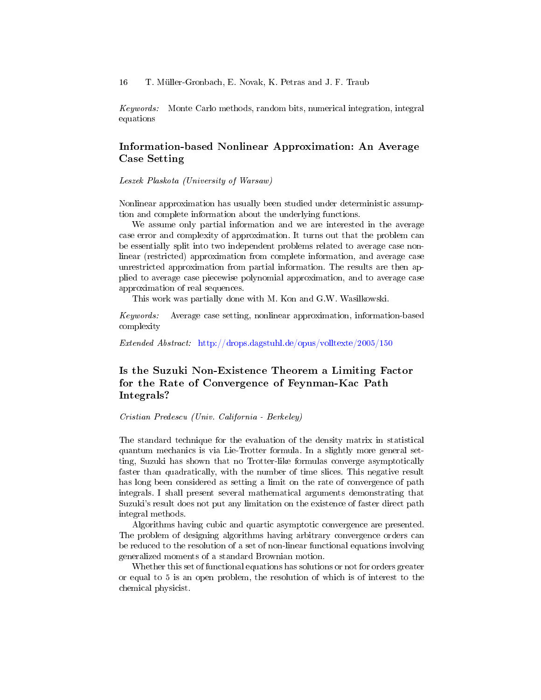Keywords: Monte Carlo methods, random bits, numerical integration, integral equations

# Information-based Nonlinear Approximation: An Average Case Setting

Leszek Plaskota (University of Warsaw)

Nonlinear approximation has usually been studied under deterministic assumption and complete information about the underlying functions.

We assume only partial information and we are interested in the average case error and complexity of approximation. It turns out that the problem can be essentially split into two independent problems related to average case nonlinear (restricted) approximation from complete information, and average case unrestricted approximation from partial information. The results are then applied to average case piecewise polynomial approximation, and to average case approximation of real sequences.

This work was partially done with M. Kon and G.W. Wasilkowski.

Keywords: Average case setting, nonlinear approximation, information-based complexity

Extended Abstract: <http://drops.dagstuhl.de/opus/volltexte/2005/150>

# Is the Suzuki Non-Existence Theorem a Limiting Factor for the Rate of Convergence of Feynman-Kac Path Integrals?

Cristian Predescu (Univ. California - Berkeley)

The standard technique for the evaluation of the density matrix in statistical quantum mechanics is via Lie-Trotter formula. In a slightly more general setting, Suzuki has shown that no Trotter-like formulas converge asymptotically faster than quadratically, with the number of time slices. This negative result has long been considered as setting a limit on the rate of convergence of path integrals. I shall present several mathematical arguments demonstrating that Suzuki's result does not put any limitation on the existence of faster direct path integral methods.

Algorithms having cubic and quartic asymptotic convergence are presented. The problem of designing algorithms having arbitrary convergence orders can be reduced to the resolution of a set of non-linear functional equations involving generalized moments of a standard Brownian motion.

Whether this set of functional equations has solutions or not for orders greater or equal to 5 is an open problem, the resolution of which is of interest to the chemical physicist.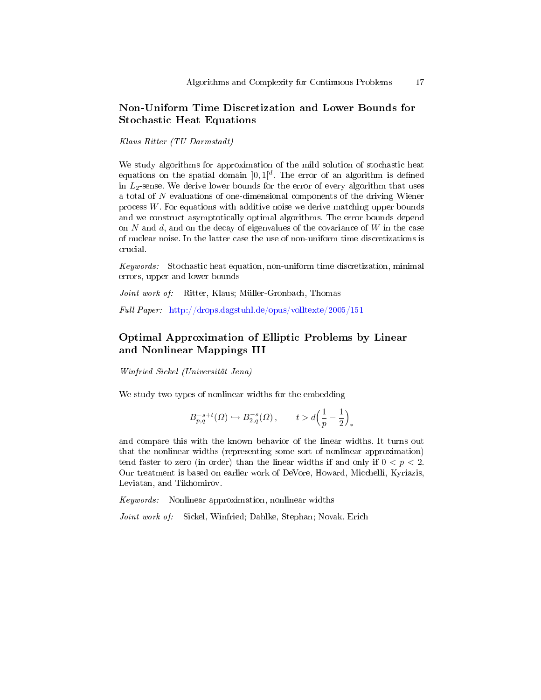# Non-Uniform Time Discretization and Lower Bounds for Stochastic Heat Equations

Klaus Ritter (TU Darmstadt)

We study algorithms for approximation of the mild solution of stochastic heat equations on the spatial domain  $]0,1[^d$ . The error of an algorithm is defined in  $L_2$ -sense. We derive lower bounds for the error of every algorithm that uses a total of N evaluations of one-dimensional components of the driving Wiener process  $W$ . For equations with additive noise we derive matching upper bounds and we construct asymptotically optimal algorithms. The error bounds depend on  $N$  and  $d$ , and on the decay of eigenvalues of the covariance of  $W$  in the case of nuclear noise. In the latter case the use of non-uniform time discretizations is crucial.

Keywords: Stochastic heat equation, non-uniform time discretization, minimal errors, upper and lower bounds

Joint work of: Ritter, Klaus; Müller-Gronbach, Thomas

Full Paper: <http://drops.dagstuhl.de/opus/volltexte/2005/151>

# Optimal Approximation of Elliptic Problems by Linear and Nonlinear Mappings III

Winfried Sickel (Universität Jena)

We study two types of nonlinear widths for the embedding

$$
B_{p,q}^{-s+t}(\varOmega)\hookrightarrow B_{2,q}^{-s}(\varOmega)\,,\qquad t>d\Big(\frac{1}{p}-\frac{1}{2}\Big)_*
$$

and compare this with the known behavior of the linear widths. It turns out that the nonlinear widths (representing some sort of nonlinear approximation) tend faster to zero (in order) than the linear widths if and only if  $0 < p < 2$ . Our treatment is based on earlier work of DeVore, Howard, Micchelli, Kyriazis, Leviatan, and Tikhomirov.

Keywords: Nonlinear approximation, nonlinear widths

Joint work of: Sickel, Winfried; Dahlke, Stephan; Novak, Erich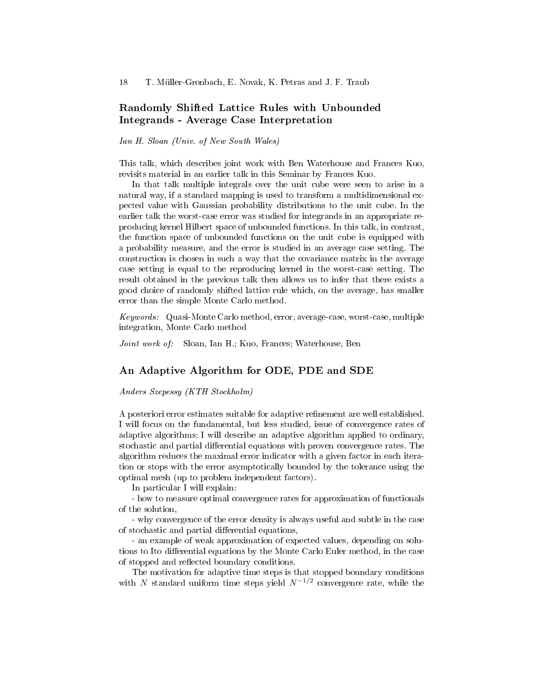### Randomly Shifted Lattice Rules with Unbounded Integrands - Average Case Interpretation

Ian H. Sloan (Univ. of New South Wales)

This talk, which describes joint work with Ben Waterhouse and Frances Kuo, revisits material in an earlier talk in this Seminar by Frances Kuo.

In that talk multiple integrals over the unit cube were seen to arise in a natural way, if a standard mapping is used to transform a multidimensional expected value with Gaussian probability distributions to the unit cube. In the earlier talk the worst-case error was studied for integrands in an appropriate reproducing kernel Hilbert space of unbounded functions. In this talk, in contrast, the function space of unbounded functions on the unit cube is equipped with a probability measure, and the error is studied in an average case setting. The construction is chosen in such a way that the covariance matrix in the average case setting is equal to the reproducing kernel in the worst-case setting. The result obtained in the previous talk then allows us to infer that there exists a good choice of randomly shifted lattice rule which, on the average, has smaller error than the simple Monte Carlo method.

Keywords: Quasi-Monte Carlo method, error, average-case, worst-case, multiple integration, Monte Carlo method

Joint work of: Sloan, Ian H.; Kuo, Frances; Waterhouse, Ben

#### An Adaptive Algorithm for ODE, PDE and SDE

Anders Szepessy (KTH Stockholm)

A posteriori error estimates suitable for adaptive refinement are well established. I will focus on the fundamental, but less studied, issue of convergence rates of adaptive algorithms: I will describe an adaptive algorithm applied to ordinary, stochastic and partial differential equations with proven convergence rates. The algorithm reduces the maximal error indicator with a given factor in each iteration or stops with the error asymptotically bounded by the tolerance using the optimal mesh (up to problem independent factors).

In particular I will explain:

- how to measure optimal convergence rates for approximation of functionals of the solution,

- why convergence of the error density is always useful and subtle in the case of stochastic and partial differential equations,

- an example of weak approximation of expected values, depending on solutions to Ito differential equations by the Monte Carlo Euler method, in the case of stopped and reflected boundary conditions.

The motivation for adaptive time steps is that stopped boundary conditions with N standard uniform time steps yield  $N^{-1/2}$  convergence rate, while the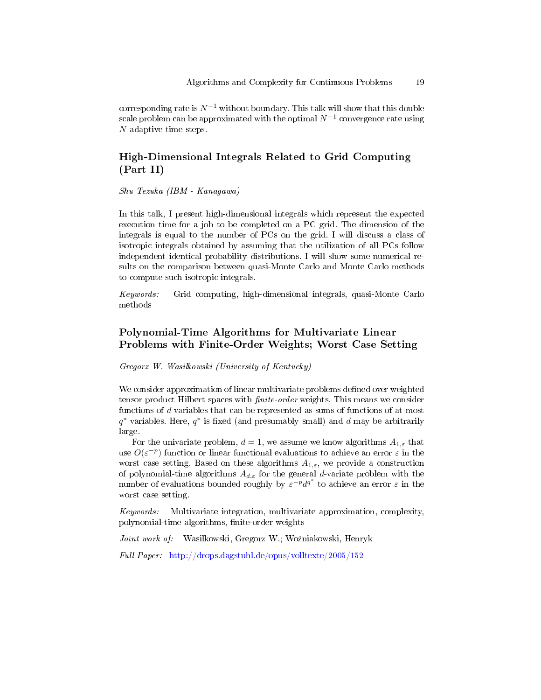corresponding rate is  $N^{-1}$  without boundary. This talk will show that this double scale problem can be approximated with the optimal  $N^{-1}$  convergence rate using N adaptive time steps.

# High-Dimensional Integrals Related to Grid Computing (Part II)

Shu Tezuka (IBM - Kanagawa)

In this talk, I present high-dimensional integrals which represent the expected execution time for a job to be completed on a PC grid. The dimension of the integrals is equal to the number of PCs on the grid. I will discuss a class of isotropic integrals obtained by assuming that the utilization of all PCs follow independent identical probability distributions. I will show some numerical results on the comparison between quasi-Monte Carlo and Monte Carlo methods to compute such isotropic integrals.

Keywords: Grid computing, high-dimensional integrals, quasi-Monte Carlo methods

# Polynomial-Time Algorithms for Multivariate Linear Problems with Finite-Order Weights; Worst Case Setting

Gregorz W. Wasilkowski (University of Kentucky)

We consider approximation of linear multivariate problems defined over weighted tensor product Hilbert spaces with *finite-order* weights. This means we consider functions of d variables that can be represented as sums of functions of at most  $q^*$  variables. Here,  $q^*$  is fixed (and presumably small) and d may be arbitrarily large.

For the univariate problem,  $d = 1$ , we assume we know algorithms  $A_{1,\varepsilon}$  that use  $O(\varepsilon^{-p})$  function or linear functional evaluations to achieve an error  $\varepsilon$  in the worst case setting. Based on these algorithms  $A_{1,\varepsilon}$ , we provide a construction of polynomial-time algorithms  $A_{d,\varepsilon}$  for the general d-variate problem with the number of evaluations bounded roughly by  $\varepsilon^{-p} d^{q^*}$  to achieve an error  $\varepsilon$  in the worst case setting.

Keywords: Multivariate integration, multivariate approximation, complexity, polynomial-time algorithms, finite-order weights

Joint work of: Wasilkowski, Gregorz W.; Woźniakowski, Henryk

Full Paper: <http://drops.dagstuhl.de/opus/volltexte/2005/152>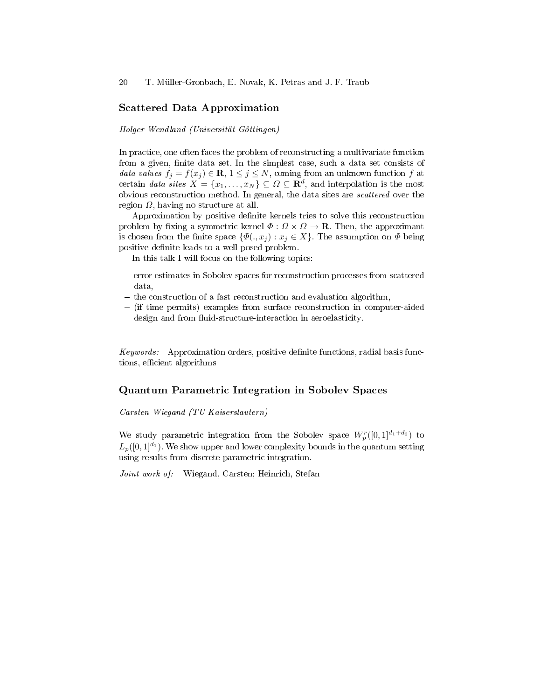#### Scattered Data Approximation

Holger Wendland (Universität Göttingen)

In practice, one often faces the problem of reconstructing a multivariate function from a given, finite data set. In the simplest case, such a data set consists of data values  $f_j = f(x_j) \in \mathbf{R}, 1 \leq j \leq N$ , coming from an unknown function f at certain data sites  $X = \{x_1, \ldots, x_N\} \subseteq \Omega \subseteq \mathbf{R}^d$ , and interpolation is the most obvious reconstruction method. In general, the data sites are scattered over the region  $Ω$ , having no structure at all.

Approximation by positive denite kernels tries to solve this reconstruction problem by fixing a symmetric kernel  $\Phi : \Omega \times \Omega \to \mathbf{R}$ . Then, the approximant is chosen from the finite space  $\{\Phi(.,x_j): x_j \in X\}$ . The assumption on  $\Phi$  being positive definite leads to a well-posed problem.

In this talk I will focus on the following topics:

- error estimates in Sobolev spaces for reconstruction processes from scattered data,
- $-$  the construction of a fast reconstruction and evaluation algorithm,
- (if time permits) examples from surface reconstruction in computer-aided design and from fluid-structure-interaction in aeroelasticity.

Keywords: Approximation orders, positive definite functions, radial basis functions, efficient algorithms

#### Quantum Parametric Integration in Sobolev Spaces

Carsten Wiegand (TU Kaiserslautern)

We study parametric integration from the Sobolev space  $W_p^r([0,1]^{d_1+d_2})$  to  $L_p([0,1]^{d_1})$ . We show upper and lower complexity bounds in the quantum setting using results from discrete parametric integration.

Joint work of: Wiegand, Carsten; Heinrich, Stefan